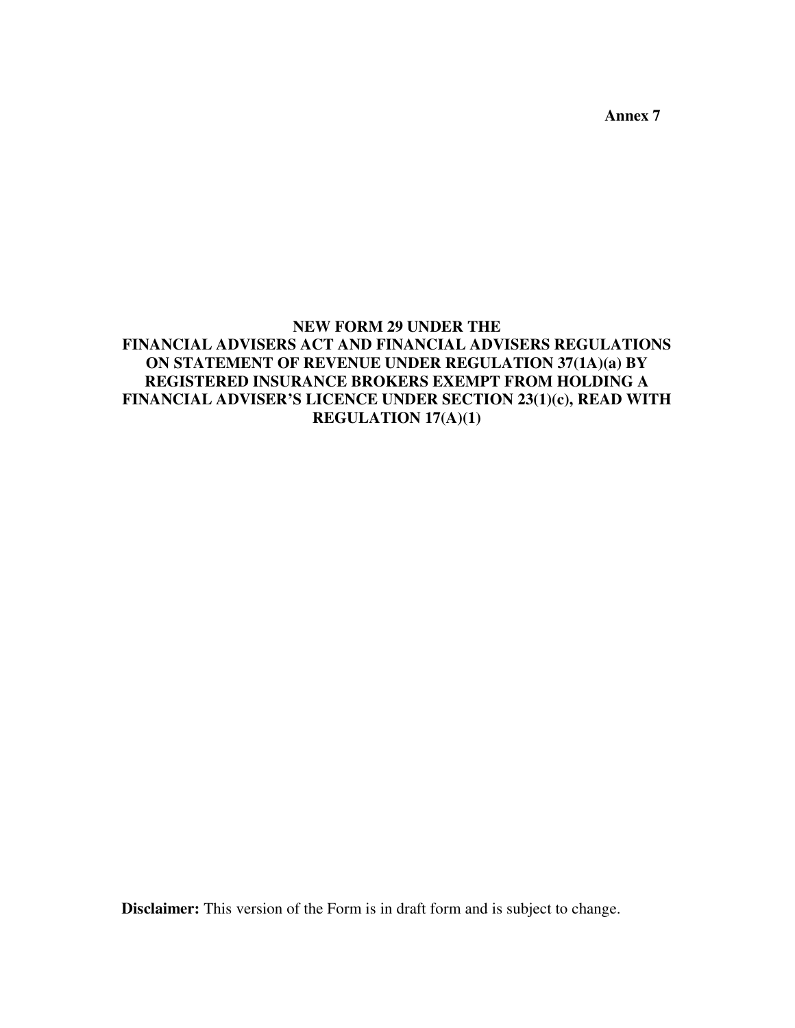**Annex 7** 

## **NEW FORM 29 UNDER THE FINANCIAL ADVISERS ACT AND FINANCIAL ADVISERS REGULATIONS ON STATEMENT OF REVENUE UNDER REGULATION 37(1A)(a) BY REGISTERED INSURANCE BROKERS EXEMPT FROM HOLDING A FINANCIAL ADVISER'S LICENCE UNDER SECTION 23(1)(c), READ WITH REGULATION 17(A)(1)**

**Disclaimer:** This version of the Form is in draft form and is subject to change.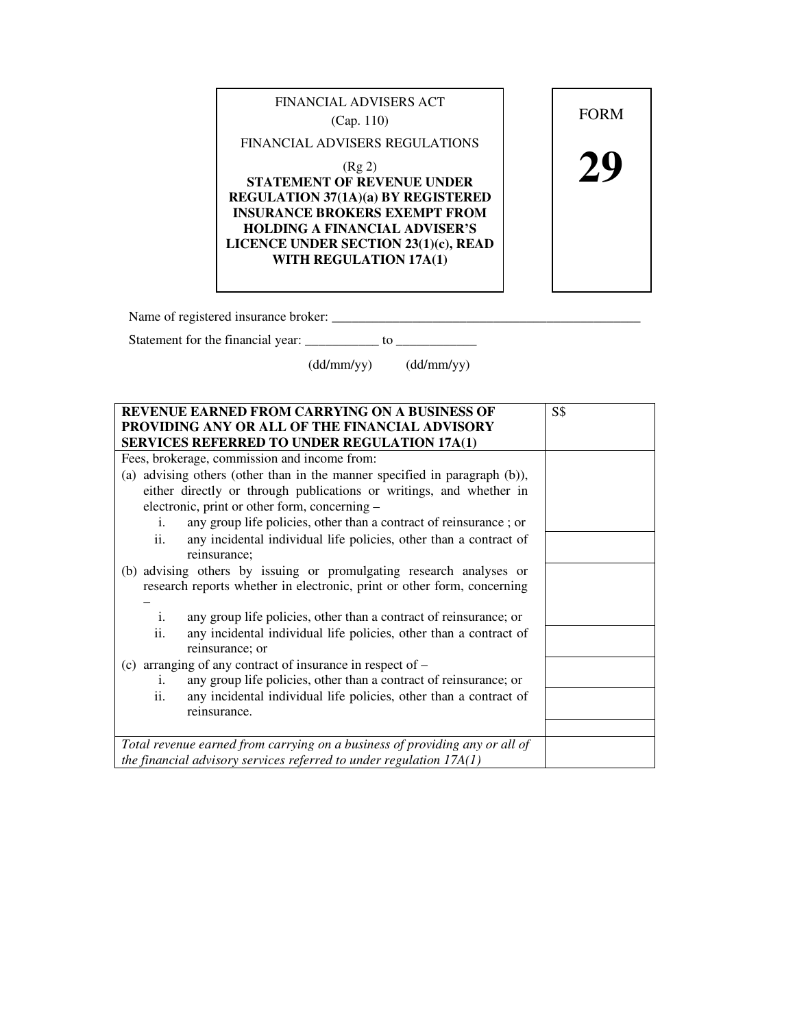

Name of registered insurance broker: \_\_\_\_\_\_\_\_\_\_\_\_\_\_\_\_\_\_\_\_\_\_\_\_\_\_\_\_\_\_\_\_\_\_\_\_\_\_\_\_\_\_\_\_\_\_

Statement for the financial year: \_\_\_\_\_\_\_\_\_\_\_ to \_\_\_\_\_\_\_\_\_\_\_\_

(dd/mm/yy) (dd/mm/yy)

| <b>REVENUE EARNED FROM CARRYING ON A BUSINESS OF</b>                        | S\$ |
|-----------------------------------------------------------------------------|-----|
| PROVIDING ANY OR ALL OF THE FINANCIAL ADVISORY                              |     |
| <b>SERVICES REFERRED TO UNDER REGULATION 17A(1)</b>                         |     |
| Fees, brokerage, commission and income from:                                |     |
| (a) advising others (other than in the manner specified in paragraph (b)),  |     |
| either directly or through publications or writings, and whether in         |     |
| electronic, print or other form, concerning -                               |     |
| any group life policies, other than a contract of reinsurance; or<br>i.     |     |
| any incidental individual life policies, other than a contract of<br>ii.    |     |
| reinsurance;                                                                |     |
| (b) advising others by issuing or promulgating research analyses or         |     |
| research reports whether in electronic, print or other form, concerning     |     |
|                                                                             |     |
| any group life policies, other than a contract of reinsurance; or<br>1.     |     |
| ii.<br>any incidental individual life policies, other than a contract of    |     |
| reinsurance; or                                                             |     |
| (c) arranging of any contract of insurance in respect of $-$                |     |
| any group life policies, other than a contract of reinsurance; or<br>1.     |     |
| any incidental individual life policies, other than a contract of<br>ii.    |     |
| reinsurance.                                                                |     |
|                                                                             |     |
| Total revenue earned from carrying on a business of providing any or all of |     |
| the financial advisory services referred to under regulation $17A(1)$       |     |